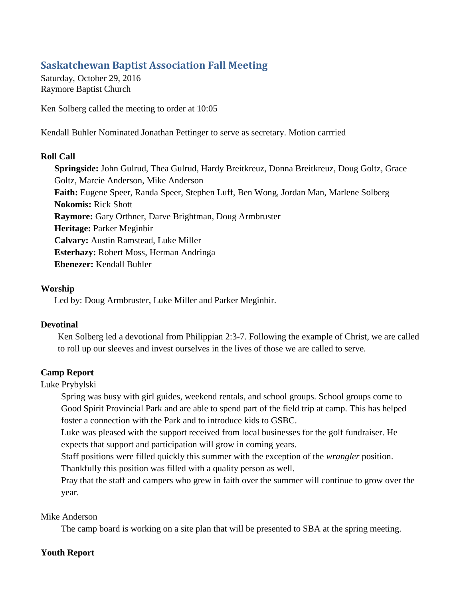# **Saskatchewan Baptist Association Fall Meeting**

Saturday, October 29, 2016 Raymore Baptist Church

Ken Solberg called the meeting to order at 10:05

Kendall Buhler Nominated Jonathan Pettinger to serve as secretary. Motion carrried

#### **Roll Call**

**Springside:** John Gulrud, Thea Gulrud, Hardy Breitkreuz, Donna Breitkreuz, Doug Goltz, Grace Goltz, Marcie Anderson, Mike Anderson **Faith:** Eugene Speer, Randa Speer, Stephen Luff, Ben Wong, Jordan Man, Marlene Solberg **Nokomis:** Rick Shott **Raymore:** Gary Orthner, Darve Brightman, Doug Armbruster **Heritage:** Parker Meginbir **Calvary:** Austin Ramstead, Luke Miller **Esterhazy:** Robert Moss, Herman Andringa **Ebenezer:** Kendall Buhler

#### **Worship**

Led by: Doug Armbruster, Luke Miller and Parker Meginbir.

#### **Devotinal**

Ken Solberg led a devotional from Philippian 2:3-7. Following the example of Christ, we are called to roll up our sleeves and invest ourselves in the lives of those we are called to serve.

## **Camp Report**

## Luke Prybylski

Spring was busy with girl guides, weekend rentals, and school groups. School groups come to Good Spirit Provincial Park and are able to spend part of the field trip at camp. This has helped foster a connection with the Park and to introduce kids to GSBC.

Luke was pleased with the support received from local businesses for the golf fundraiser. He expects that support and participation will grow in coming years.

Staff positions were filled quickly this summer with the exception of the *wrangler* position. Thankfully this position was filled with a quality person as well.

Pray that the staff and campers who grew in faith over the summer will continue to grow over the year.

#### Mike Anderson

The camp board is working on a site plan that will be presented to SBA at the spring meeting.

## **Youth Report**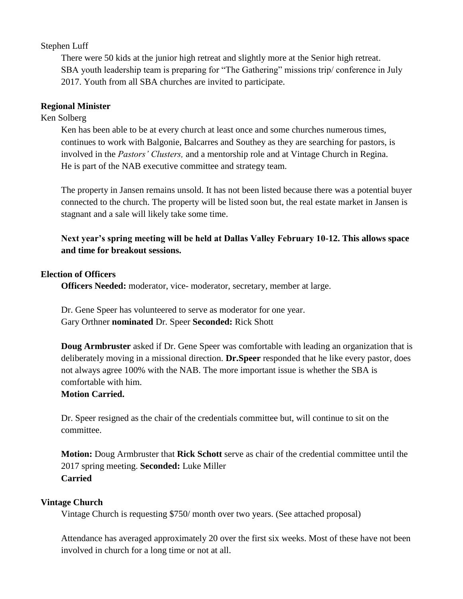## Stephen Luff

There were 50 kids at the junior high retreat and slightly more at the Senior high retreat. SBA youth leadership team is preparing for "The Gathering" missions trip/ conference in July 2017. Youth from all SBA churches are invited to participate.

## **Regional Minister**

Ken Solberg

Ken has been able to be at every church at least once and some churches numerous times, continues to work with Balgonie, Balcarres and Southey as they are searching for pastors, is involved in the *Pastors' Clusters,* and a mentorship role and at Vintage Church in Regina. He is part of the NAB executive committee and strategy team.

The property in Jansen remains unsold. It has not been listed because there was a potential buyer connected to the church. The property will be listed soon but, the real estate market in Jansen is stagnant and a sale will likely take some time.

**Next year's spring meeting will be held at Dallas Valley February 10-12. This allows space and time for breakout sessions.** 

## **Election of Officers**

**Officers Needed:** moderator, vice- moderator, secretary, member at large.

Dr. Gene Speer has volunteered to serve as moderator for one year. Gary Orthner **nominated** Dr. Speer **Seconded:** Rick Shott

**Doug Armbruster** asked if Dr. Gene Speer was comfortable with leading an organization that is deliberately moving in a missional direction. **Dr.Speer** responded that he like every pastor, does not always agree 100% with the NAB. The more important issue is whether the SBA is comfortable with him.

## **Motion Carried.**

Dr. Speer resigned as the chair of the credentials committee but, will continue to sit on the committee.

**Motion:** Doug Armbruster that **Rick Schott** serve as chair of the credential committee until the 2017 spring meeting. **Seconded:** Luke Miller **Carried**

## **Vintage Church**

Vintage Church is requesting \$750/ month over two years. (See attached proposal)

Attendance has averaged approximately 20 over the first six weeks. Most of these have not been involved in church for a long time or not at all.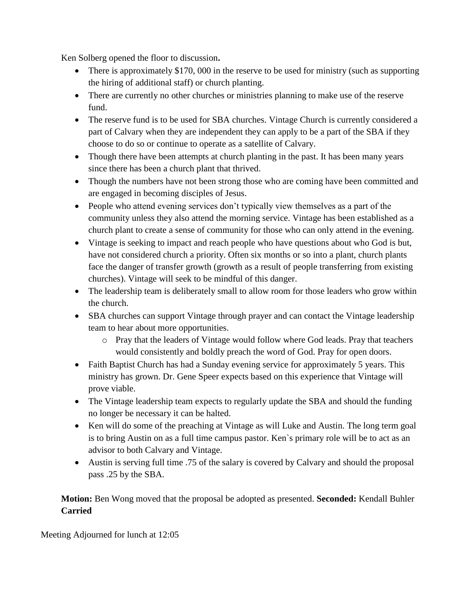Ken Solberg opened the floor to discussion**.**

- There is approximately \$170, 000 in the reserve to be used for ministry (such as supporting the hiring of additional staff) or church planting.
- There are currently no other churches or ministries planning to make use of the reserve fund.
- The reserve fund is to be used for SBA churches. Vintage Church is currently considered a part of Calvary when they are independent they can apply to be a part of the SBA if they choose to do so or continue to operate as a satellite of Calvary.
- Though there have been attempts at church planting in the past. It has been many years since there has been a church plant that thrived.
- Though the numbers have not been strong those who are coming have been committed and are engaged in becoming disciples of Jesus.
- People who attend evening services don't typically view themselves as a part of the community unless they also attend the morning service. Vintage has been established as a church plant to create a sense of community for those who can only attend in the evening.
- Vintage is seeking to impact and reach people who have questions about who God is but, have not considered church a priority. Often six months or so into a plant, church plants face the danger of transfer growth (growth as a result of people transferring from existing churches). Vintage will seek to be mindful of this danger.
- The leadership team is deliberately small to allow room for those leaders who grow within the church.
- SBA churches can support Vintage through prayer and can contact the Vintage leadership team to hear about more opportunities.
	- o Pray that the leaders of Vintage would follow where God leads. Pray that teachers would consistently and boldly preach the word of God. Pray for open doors.
- Faith Baptist Church has had a Sunday evening service for approximately 5 years. This ministry has grown. Dr. Gene Speer expects based on this experience that Vintage will prove viable.
- The Vintage leadership team expects to regularly update the SBA and should the funding no longer be necessary it can be halted.
- Ken will do some of the preaching at Vintage as will Luke and Austin. The long term goal is to bring Austin on as a full time campus pastor. Ken`s primary role will be to act as an advisor to both Calvary and Vintage.
- Austin is serving full time .75 of the salary is covered by Calvary and should the proposal pass .25 by the SBA.

## **Motion:** Ben Wong moved that the proposal be adopted as presented. **Seconded:** Kendall Buhler **Carried**

Meeting Adjourned for lunch at 12:05